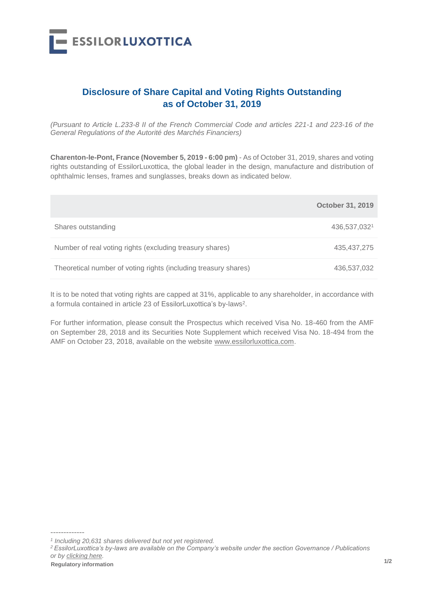

## **Disclosure of Share Capital and Voting Rights Outstanding as of October 31, 2019**

*(Pursuant to Article L.233-8 II of the French Commercial Code and articles 221-1 and 223-16 of the General Regulations of the Autorité des Marchés Financiers)*

**Charenton-le-Pont, France (November 5, 2019 - 6:00 pm)** - As of October 31, 2019, shares and voting rights outstanding of EssilorLuxottica, the global leader in the design, manufacture and distribution of ophthalmic lenses, frames and sunglasses, breaks down as indicated below.

|                                                                 | <b>October 31, 2019</b> |
|-----------------------------------------------------------------|-------------------------|
| Shares outstanding                                              | 436,537,0321            |
| Number of real voting rights (excluding treasury shares)        | 435,437,275             |
| Theoretical number of voting rights (including treasury shares) | 436,537,032             |

It is to be noted that voting rights are capped at 31%, applicable to any shareholder, in accordance with a formula contained in article 23 of EssilorLuxottica's by-laws<sup>2</sup>.

For further information, please consult the Prospectus which received Visa No. 18-460 from the AMF on September 28, 2018 and its Securities Note Supplement which received Visa No. 18-494 from the AMF on October 23, 2018, available on the website www.essilorluxottica.com.

-------------

*<sup>1</sup> Including 20,631 shares delivered but not yet registered.*

*<sup>2</sup> EssilorLuxottica's by-laws are available on the Company's website under the section Governance / Publications or by [clicking here.](https://www.essilorluxottica.com/publications)*